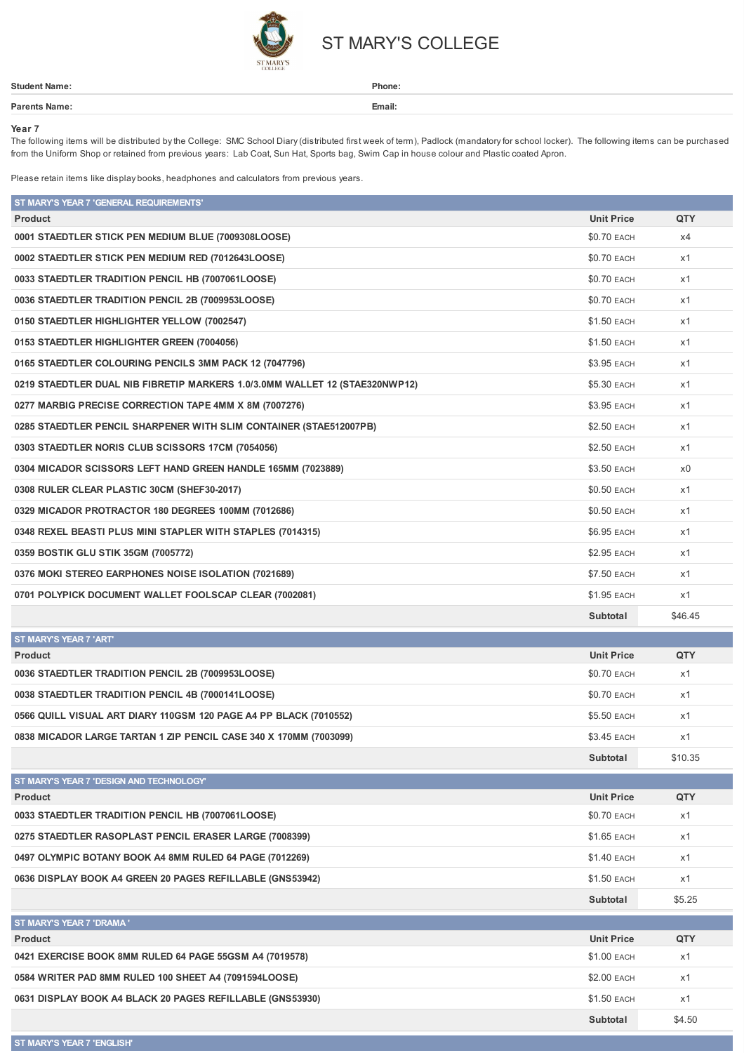

## ST MARY'S COLLEGE

| Student Name: |  |  |  |
|---------------|--|--|--|
|               |  |  |  |
|               |  |  |  |

**Student Name: Phone: Parents Name: Email:**

## **Year 7**

The following items will be distributed bythe College: SMC School Diary(distributed first week of term), Padlock (mandatoryfor school locker). The following items can be purchased from the Uniform Shop or retained from previous years: Lab Coat, Sun Hat, Sports bag, Swim Cap in house colour and Plastic coated Apron.

Please retain items like display books, headphones and calculators from previous years.

| ST MARY'S YEAR 7 'GENERAL REQUIREMENTS'                                     |                    |         |
|-----------------------------------------------------------------------------|--------------------|---------|
| Product                                                                     | <b>Unit Price</b>  | QTY     |
| 0001 STAEDTLER STICK PEN MEDIUM BLUE (7009308LOOSE)                         | <b>\$0.70 EACH</b> | x4      |
| 0002 STAEDTLER STICK PEN MEDIUM RED (7012643LOOSE)                          | \$0.70 EACH        | x1      |
| 0033 STAEDTLER TRADITION PENCIL HB (7007061LOOSE)                           | <b>\$0.70 EACH</b> | x1      |
| 0036 STAEDTLER TRADITION PENCIL 2B (7009953LOOSE)                           | \$0.70 EACH        | x1      |
| 0150 STAEDTLER HIGHLIGHTER YELLOW (7002547)                                 | <b>\$1.50 EACH</b> | x1      |
| 0153 STAEDTLER HIGHLIGHTER GREEN (7004056)                                  | <b>\$1.50 EACH</b> | x1      |
| 0165 STAEDTLER COLOURING PENCILS 3MM PACK 12 (7047796)                      | \$3.95 EACH        | x1      |
| 0219 STAEDTLER DUAL NIB FIBRETIP MARKERS 1.0/3.0MM WALLET 12 (STAE320NWP12) | \$5.30 EACH        | x1      |
| 0277 MARBIG PRECISE CORRECTION TAPE 4MM X 8M (7007276)                      | \$3.95 EACH        | x1      |
| 0285 STAEDTLER PENCIL SHARPENER WITH SLIM CONTAINER (STAE512007PB)          | \$2.50 EACH        | x1      |
| 0303 STAEDTLER NORIS CLUB SCISSORS 17CM (7054056)                           | \$2.50 EACH        | x1      |
| 0304 MICADOR SCISSORS LEFT HAND GREEN HANDLE 165MM (7023889)                | \$3.50 EACH        | x0      |
| 0308 RULER CLEAR PLASTIC 30CM (SHEF30-2017)                                 | \$0.50 EACH        | x1      |
| 0329 MICADOR PROTRACTOR 180 DEGREES 100MM (7012686)                         | \$0.50 EACH        | x1      |
| 0348 REXEL BEASTI PLUS MINI STAPLER WITH STAPLES (7014315)                  | <b>\$6.95 EACH</b> | x1      |
| 0359 BOSTIK GLU STIK 35GM (7005772)                                         | \$2.95 EACH        | x1      |
| 0376 MOKI STEREO EARPHONES NOISE ISOLATION (7021689)                        | \$7.50 EACH        | x1      |
| 0701 POLYPICK DOCUMENT WALLET FOOLSCAP CLEAR (7002081)                      | \$1.95 EACH        | x1      |
|                                                                             | Subtotal           | \$46.45 |
| <b>ST MARY'S YEAR 7 'ART'</b>                                               |                    |         |

| <b>Product</b>                                                    | <b>Unit Price</b>  | <b>QTY</b> |
|-------------------------------------------------------------------|--------------------|------------|
| 0036 STAEDTLER TRADITION PENCIL 2B (7009953LOOSE)                 | <b>\$0.70 EACH</b> | x1         |
| 0038 STAEDTLER TRADITION PENCIL 4B (7000141LOOSE)                 | <b>\$0.70 EACH</b> | x1         |
| 0566 QUILL VISUAL ART DIARY 110GSM 120 PAGE A4 PP BLACK (7010552) | \$5.50 EACH        | x1         |
| 0838 MICADOR LARGE TARTAN 1 ZIP PENCIL CASE 340 X 170MM (7003099) | \$3.45 EACH        | x1         |
|                                                                   | Subtotal           | \$10.35    |

| ST MARY'S YEAR 7 'DESIGN AND TECHNOLOGY'                  |                    |        |
|-----------------------------------------------------------|--------------------|--------|
| <b>Product</b>                                            | <b>Unit Price</b>  | QTY    |
| 0033 STAEDTLER TRADITION PENCIL HB (7007061LOOSE)         | <b>\$0.70 EACH</b> | x1     |
| 0275 STAEDTLER RASOPLAST PENCIL ERASER LARGE (7008399)    | <b>\$1.65 EACH</b> | x1     |
| 0497 OLYMPIC BOTANY BOOK A4 8MM RULED 64 PAGE (7012269)   | <b>\$1.40 EACH</b> | x1     |
| 0636 DISPLAY BOOK A4 GREEN 20 PAGES REFILLABLE (GNS53942) | <b>\$1.50 EACH</b> | x1     |
|                                                           |                    |        |
|                                                           | Subtotal           | \$5.25 |
| <b>ST MARY'S YEAR 7 'DRAMA'</b>                           |                    |        |
| <b>Product</b>                                            | <b>Unit Price</b>  | QTY    |
| 0421 EXERCISE BOOK 8MM RULED 64 PAGE 55GSM A4 (7019578)   | <b>\$1.00 EACH</b> | x1     |
| 0584 WRITER PAD 8MM RULED 100 SHEET A4 (7091594LOOSE)     | <b>\$2.00 EACH</b> | x1     |

**Subtotal** \$4.50